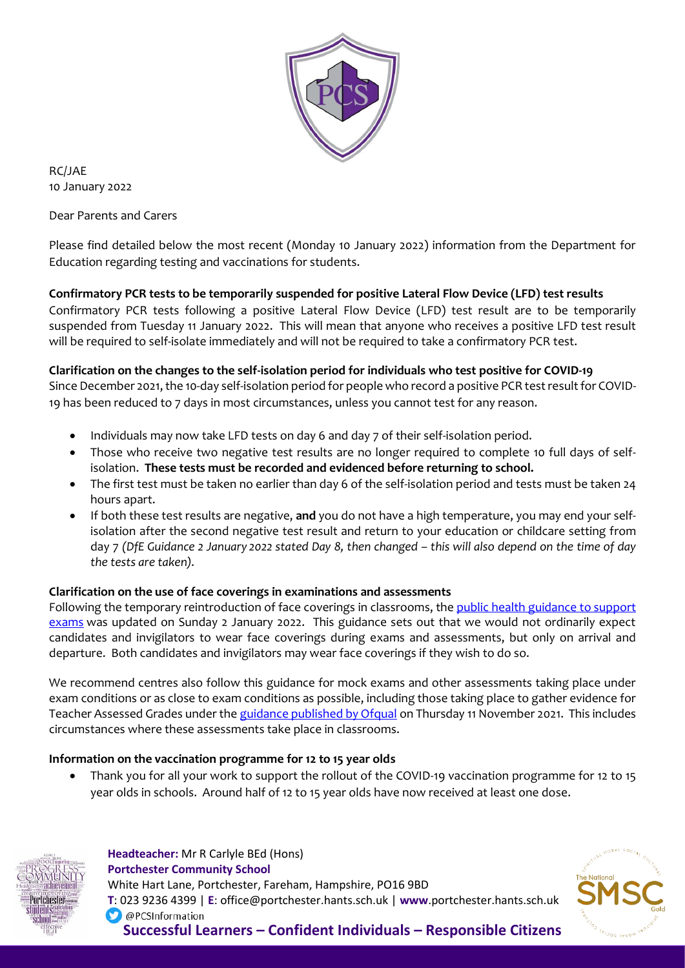

RC/JAE 10 January 2022

Dear Parents and Carers

Please find detailed below the most recent (Monday 10 January 2022) information from the Department for Education regarding testing and vaccinations for students.

# **Confirmatory PCR tests to be temporarily suspended for positive Lateral Flow Device (LFD) test results**

Confirmatory PCR tests following a positive Lateral Flow Device (LFD) test result are to be temporarily suspended from Tuesday 11 January 2022. This will mean that anyone who receives a positive LFD test result will be required to self-isolate immediately and will not be required to take a confirmatory PCR test.

### **Clarification on the changes to the self-isolation period for individuals who test positive for COVID-19**

Since December 2021, the 10-day self-isolation period for people who record a positive PCR test result for COVID-19 has been reduced to 7 days in most circumstances, unless you cannot test for any reason.

- Individuals may now take LFD tests on day 6 and day 7 of their self-isolation period.
- Those who receive two negative test results are no longer required to complete 10 full days of selfisolation. **These tests must be recorded and evidenced before returning to school.**
- The first test must be taken no earlier than day 6 of the self-isolation period and tests must be taken 24 hours apart.
- If both these test results are negative, **and** you do not have a high temperature, you may end your selfisolation after the second negative test result and return to your education or childcare setting from day 7 *(DfE Guidance 2 January 2022 stated Day 8, then changed – this will also depend on the time of day the tests are taken).*

## **Clarification on the use of face coverings in examinations and assessments**

Following the temporary reintroduction of face coverings in classrooms, the public health [guidance](https://www.gov.uk/government/publications/responsibility-for-autumn-gcse-as-and-a-level-exam-series/public-health-arrangements-for-autumn-exams?utm_source=7%20January%202022%20C19&utm_medium=Daily%20Email%20C19&utm_campaign=DfE%20C19) to support [exams](https://www.gov.uk/government/publications/responsibility-for-autumn-gcse-as-and-a-level-exam-series/public-health-arrangements-for-autumn-exams?utm_source=7%20January%202022%20C19&utm_medium=Daily%20Email%20C19&utm_campaign=DfE%20C19) was updated on Sunday 2 January 2022. This guidance sets out that we would not ordinarily expect candidates and invigilators to wear face coverings during exams and assessments, but only on arrival and departure. Both candidates and invigilators may wear face coverings if they wish to do so.

We recommend centres also follow this guidance for mock exams and other assessments taking place under exam conditions or as close to exam conditions as possible, including those taking place to gather evidence for Teacher Assessed Grades under the guidance [published](https://www.gov.uk/government/publications/guidance-on-contingency-arrangements-for-gcses-as-and-a-levels-in-summer-2022?utm_source=7%20January%202022%20C19&utm_medium=Daily%20Email%20C19&utm_campaign=DfE%20C19) by Ofqual on Thursday 11 November 2021. This includes circumstances where these assessments take place in classrooms.

#### **Information on the vaccination programme for 12 to 15 year olds**

• Thank you for all your work to support the rollout of the COVID-19 vaccination programme for 12 to 15 year olds in schools. Around half of 12 to 15 year olds have now received at least one dose.



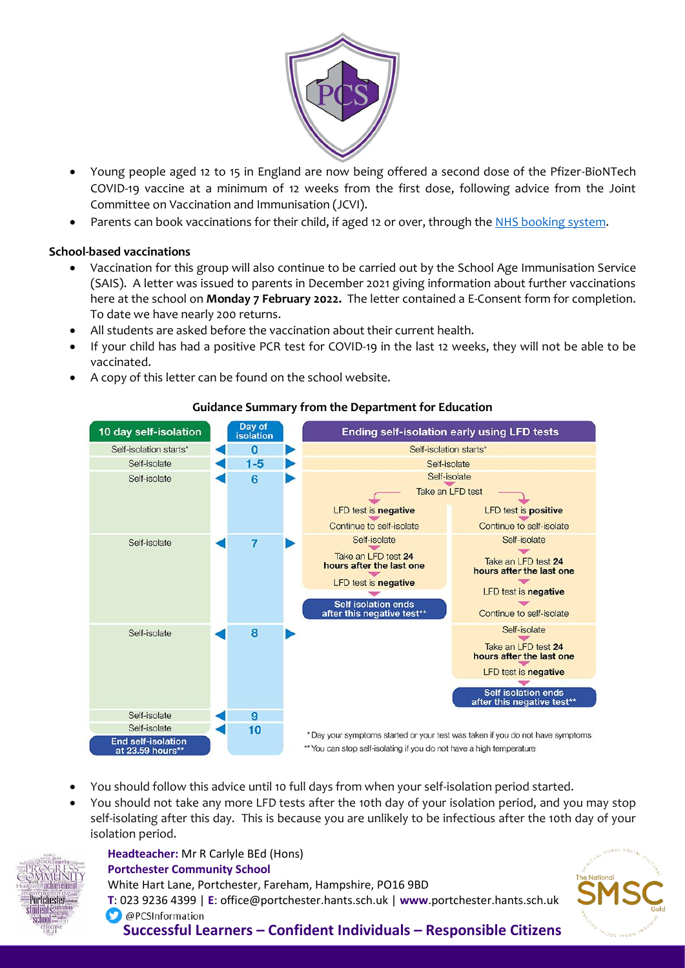

- Young people aged 12 to 15 in England are now being offered a second dose of the Pfizer-BioNTech COVID-19 vaccine at a minimum of 12 weeks from the first dose, following advice from the Joint Committee on Vaccination and Immunisation (JCVI).
- Parents can book vaccinations for their child, if aged 12 or over, through the NHS [booking](https://www.nhs.uk/conditions/coronavirus-covid-19/coronavirus-vaccination/book-coronavirus-vaccination/?utm_source=6%20January%202022%20C19&utm_medium=Daily%20Email%20C19&utm_campaign=DfE%20C19) system.

## **School-based vaccinations**

- Vaccination for this group will also continue to be carried out by the School Age Immunisation Service (SAIS). A letter was issued to parents in December 2021 giving information about further vaccinations here at the school on **Monday 7 February 2022.** The letter contained a E-Consent form for completion. To date we have nearly 200 returns.
- All students are asked before the vaccination about their current health.
- If your child has had a positive PCR test for COVID-19 in the last 12 weeks, they will not be able to be vaccinated.
- A copy of this letter can be found on the school website.



# **Guidance Summary from the Department for Education**

- You should follow this advice until 10 full days from when your self-isolation period started.
- You should not take any more LFD tests after the 10th day of your isolation period, and you may stop self-isolating after this day. This is because you are unlikely to be infectious after the 10th day of your isolation period.



 **Headteacher:** Mr R Carlyle BEd (Hons)  **Portchester Community School** White Hart Lane, Portchester, Fareham, Hampshire, PO16 9BD  **T**: 023 9236 4399 | **E**: office@portchester.hants.sch.uk | **www**.portchester.hants.sch.uk O @PCSInformation **Successful Learners – Confident Individuals – Responsible Citizens**